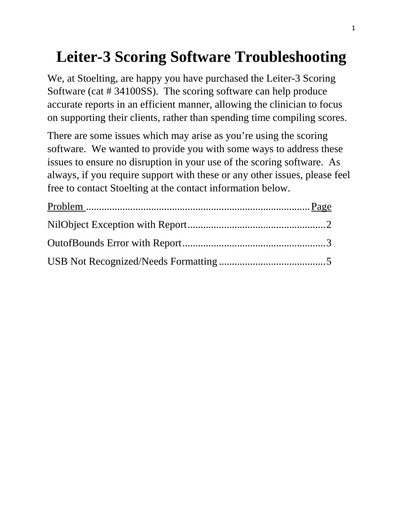# **Leiter-3 Scoring Software Troubleshooting**

We, at Stoelting, are happy you have purchased the Leiter-3 Scoring Software (cat # 34100SS). The scoring software can help produce accurate reports in an efficient manner, allowing the clinician to focus on supporting their clients, rather than spending time compiling scores.

There are some issues which may arise as you're using the scoring software. We wanted to provide you with some ways to address these issues to ensure no disruption in your use of the scoring software. As always, if you require support with these or any other issues, please feel free to contact Stoelting at the contact information below.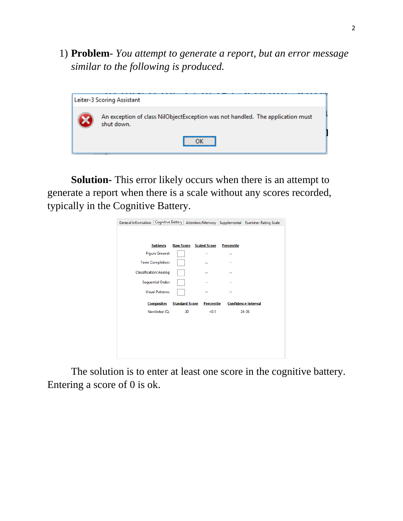1) **Problem**- *You attempt to generate a report, but an error message similar to the following is produced.*



**Solution-** This error likely occurs when there is an attempt to generate a report when there is a scale without any scores recorded, typically in the Cognitive Battery.

| General Information   Cognitive Battery   Attention/Memory   Supplemental   Examiner Rating Scale |                       |                               |                   |                            |
|---------------------------------------------------------------------------------------------------|-----------------------|-------------------------------|-------------------|----------------------------|
|                                                                                                   |                       |                               |                   |                            |
| <b>Subtests</b>                                                                                   |                       | <b>Raw Score Scaled Score</b> | <b>Percentile</b> |                            |
| <b>Figure Ground:</b>                                                                             |                       | --                            | --                |                            |
| Form Completion:                                                                                  |                       | --                            | --                |                            |
| Classification/Analog                                                                             |                       |                               | --                |                            |
| Sequential Order:                                                                                 |                       | --                            | --                |                            |
| <b>Visual Patterns:</b>                                                                           |                       | --                            | --                |                            |
| <b>Composites</b>                                                                                 | <b>Standard Score</b> | <b>Percentile</b>             |                   | <b>Confidence Interval</b> |
| NonVerbal IO:                                                                                     | 30                    | < 0.1                         |                   | $24 - 36$                  |
|                                                                                                   |                       |                               |                   |                            |
|                                                                                                   |                       |                               |                   |                            |
|                                                                                                   |                       |                               |                   |                            |
|                                                                                                   |                       |                               |                   |                            |
|                                                                                                   |                       |                               |                   |                            |

The solution is to enter at least one score in the cognitive battery. Entering a score of 0 is ok.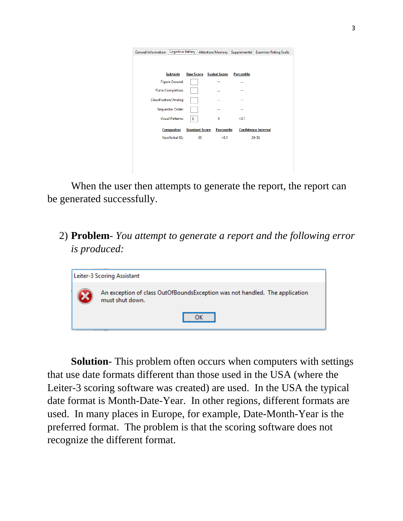| General Information   Cognitive Battery   Attention/Memory   Supplemental   Examiner Rating Scale |                       |                               |                   |                            |
|---------------------------------------------------------------------------------------------------|-----------------------|-------------------------------|-------------------|----------------------------|
| <b>Subtests</b>                                                                                   |                       | <b>Raw Score</b> Scaled Score | <b>Percentile</b> |                            |
| <b>Figure Ground:</b>                                                                             |                       | --                            | --                |                            |
| Form Completion:                                                                                  |                       | --                            | --                |                            |
| Classification/Analog                                                                             |                       | ۰.                            | ۰.                |                            |
| <b>Sequential Order:</b>                                                                          |                       |                               |                   |                            |
| <b>Visual Patterns:</b>                                                                           | 0                     | 0                             | < 0.1             |                            |
| <b>Composites</b>                                                                                 | <b>Standard Score</b> | <b>Percentile</b>             |                   | <b>Confidence Interval</b> |
| NonVerbal IO:                                                                                     | 30                    | < 0.1                         |                   | $24 - 36$                  |
|                                                                                                   |                       |                               |                   |                            |
|                                                                                                   |                       |                               |                   |                            |
|                                                                                                   |                       |                               |                   |                            |

When the user then attempts to generate the report, the report can be generated successfully.

2) **Problem**- *You attempt to generate a report and the following error is produced:*

| Leiter-3 Scoring Assistant                                                                     |
|------------------------------------------------------------------------------------------------|
| An exception of class OutOfBoundsException was not handled. The application<br>must shut down. |
|                                                                                                |

**Solution**- This problem often occurs when computers with settings that use date formats different than those used in the USA (where the Leiter-3 scoring software was created) are used. In the USA the typical date format is Month-Date-Year. In other regions, different formats are used. In many places in Europe, for example, Date-Month-Year is the preferred format. The problem is that the scoring software does not recognize the different format.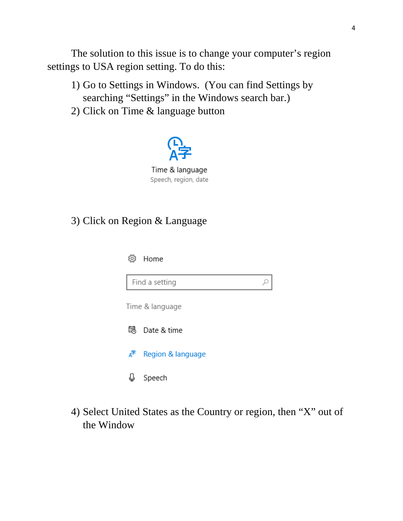The solution to this issue is to change your computer's region settings to USA region setting. To do this:

- 1) Go to Settings in Windows. (You can find Settings by searching "Settings" in the Windows search bar.)
- 2) Click on Time & language button



Time & language Speech, region, date

#### 3) Click on Region & Language



4) Select United States as the Country or region, then "X" out of the Window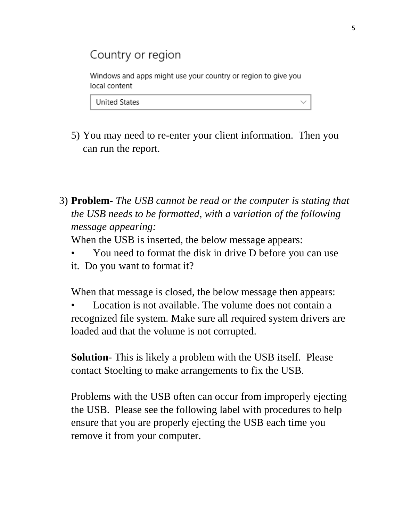## Country or region

Windows and apps might use your country or region to give you local content

**United States** 

- 5) You may need to re-enter your client information. Then you can run the report.
- 3) **Problem** *The USB cannot be read or the computer is stating that the USB needs to be formatted, with a variation of the following message appearing:*

When the USB is inserted, the below message appears:

• You need to format the disk in drive D before you can use it. Do you want to format it?

When that message is closed, the below message then appears:

Location is not available. The volume does not contain a recognized file system. Make sure all required system drivers are loaded and that the volume is not corrupted.

**Solution**- This is likely a problem with the USB itself. Please contact Stoelting to make arrangements to fix the USB.

Problems with the USB often can occur from improperly ejecting the USB. Please see the following label with procedures to help ensure that you are properly ejecting the USB each time you remove it from your computer.